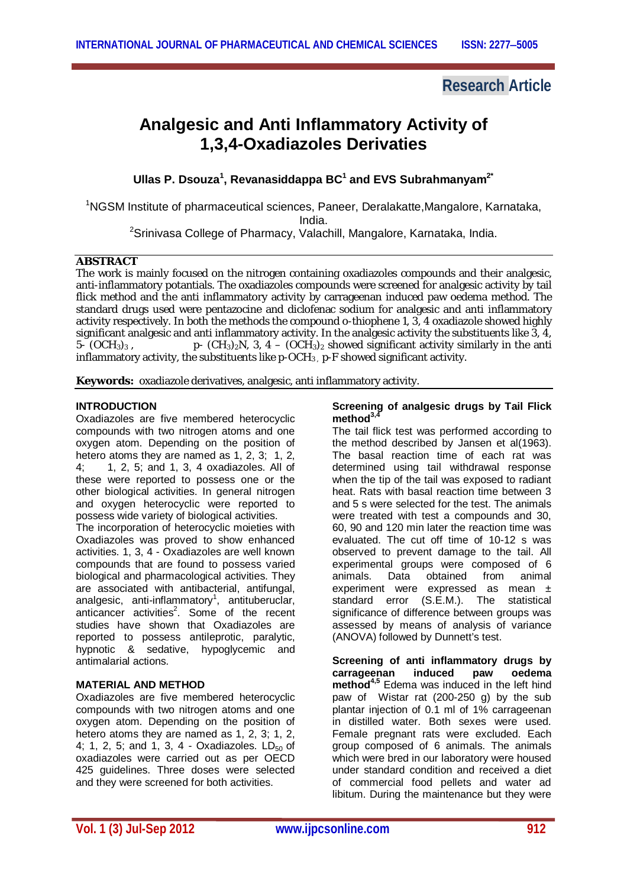## **Research Article**

# **Analgesic and Anti Inflammatory Activity of 1,3,4-Oxadiazoles Derivaties**

**Ullas P. Dsouza 1 , Revanasiddappa BC<sup>1</sup> and EVS Subrahmanyam2\***

<sup>1</sup>NGSM Institute of pharmaceutical sciences, Paneer, Deralakatte,Mangalore, Karnataka,

India.

<sup>2</sup>Srinivasa College of Pharmacy, Valachill, Mangalore, Karnataka, India.

#### **ABSTRACT**

The work is mainly focused on the nitrogen containing oxadiazoles compounds and their analgesic, anti-inflammatory potantials. The oxadiazoles compounds were screened for analgesic activity by tail flick method and the anti inflammatory activity by carrageenan induced paw oedema method. The standard drugs used were pentazocine and diclofenac sodium for analgesic and anti inflammatory activity respectively. In both the methods the compound *o*-thiophene 1, 3, 4 oxadiazole showed highly significant analgesic and anti inflammatory activity. In the analgesic activity the substituents like 3, 4, 5-  $(OCH<sub>3</sub>)<sub>3</sub>$ , p-  $(CH_3)_2N$ , 3, 4 –  $(OCH_3)_2$  showed significant activity similarly in the anti inflammatory activity, the substituents like  $p$ -OCH<sub>3</sub>  $p$ -F showed significant activity.

**Keywords:** oxadiazole derivatives, analgesic, anti inflammatory activity.

## **INTRODUCTION**

Oxadiazoles are five membered heterocyclic compounds with two nitrogen atoms and one oxygen atom. Depending on the position of hetero atoms they are named as  $1, 2, 3$ ;  $1, 2, 4$ <br>4: 1, 2, 5; and 1, 3, 4 oxadiazoles. All of 4; 1, 2, 5; and 1, 3, 4 oxadiazoles. All of these were reported to possess one or the other biological activities. In general nitrogen and oxygen heterocyclic were reported to possess wide variety of biological activities.

The incorporation of heterocyclic moieties with Oxadiazoles was proved to show enhanced activities. 1, 3, 4 - Oxadiazoles are well known compounds that are found to possess varied biological and pharmacological activities. They are associated with antibacterial, antifungal, analgesic, anti-inflammatory<sup>1</sup>, antituberuclar, anticancer activities<sup>2</sup>. Some of the recent studies have shown that Oxadiazoles are reported to possess antileprotic, paralytic, hypnotic & sedative, hypoglycemic and antimalarial actions.

## **MATERIAL AND METHOD**

Oxadiazoles are five membered heterocyclic compounds with two nitrogen atoms and one oxygen atom. Depending on the position of hetero atoms they are named as 1, 2, 3; 1, 2, 4; 1, 2, 5; and 1, 3, 4 - Oxadiazoles.  $LD_{50}$  of oxadiazoles were carried out as per OECD 425 guidelines. Three doses were selected and they were screened for both activities.

#### **Screening of analgesic drugs by Tail Flick method3,4**

The tail flick test was performed according to the method described by Jansen et al(1963). The basal reaction time of each rat was determined using tail withdrawal response when the tip of the tail was exposed to radiant heat. Rats with basal reaction time between 3 and 5 s were selected for the test. The animals were treated with test a compounds and 30, 60, 90 and 120 min later the reaction time was evaluated. The cut off time of 10-12 s was observed to prevent damage to the tail. All experimental groups were composed of 6 animals. Data obtained from animal experiment were expressed as mean ± standard error (S.E.M.). The statistical significance of difference between groups was assessed by means of analysis of variance (ANOVA) followed by Dunnett's test.

**Screening of anti inflammatory drugs by**  carrageenan **method4,5** Edema was induced in the left hind paw of Wistar rat (200-250 g) by the sub plantar injection of 0.1 ml of 1% carrageenan in distilled water. Both sexes were used. Female pregnant rats were excluded. Each group composed of 6 animals. The animals which were bred in our laboratory were housed under standard condition and received a diet of commercial food pellets and water ad libitum. During the maintenance but they were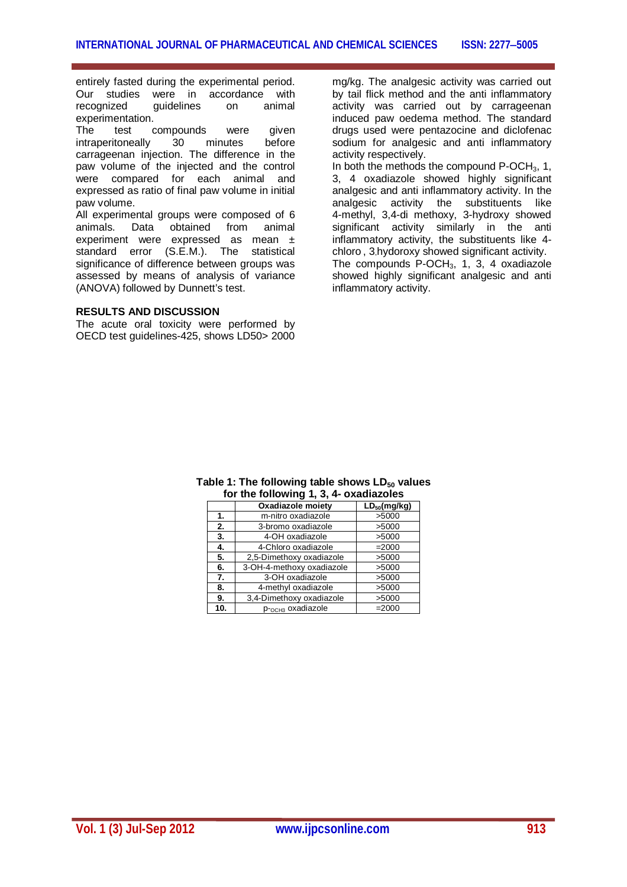entirely fasted during the experimental period. Our studies were in accordance with recognized guidelines on animal experimentation.

The test compounds were given intraperitoneally 30 minutes before carrageenan injection. The difference in the paw volume of the injected and the control were compared for each animal and expressed as ratio of final paw volume in initial paw volume.

All experimental groups were composed of 6 animals. Data obtained from animal experiment were expressed as mean ± standard error (S.E.M.). The statistical significance of difference between groups was assessed by means of analysis of variance (ANOVA) followed by Dunnett's test.

#### **RESULTS AND DISCUSSION**

The acute oral toxicity were performed by OECD test guidelines-425, shows LD50> 2000 mg/kg. The analgesic activity was carried out by tail flick method and the anti inflammatory activity was carried out by carrageenan induced paw oedema method. The standard drugs used were pentazocine and diclofenac sodium for analgesic and anti inflammatory activity respectively.

In both the methods the compound  $P-OCH<sub>3</sub>$ , 1, 3, 4 oxadiazole showed highly significant analgesic and anti inflammatory activity. In the analgesic activity the substituents like 4-methyl, 3,4-di methoxy, 3-hydroxy showed significant activity similarly in the anti inflammatory activity, the substituents like 4 chloro , 3-hydoroxy showed significant activity. The compounds  $P$ -OCH<sub>3</sub>, 1, 3, 4 oxadiazole showed highly significant analgesic and anti inflammatory activity.

|     | Oxadiazole moiety         | $LD_{50}(mg/kg)$ |
|-----|---------------------------|------------------|
| 1.  | m-nitro oxadiazole        | >5000            |
| 2.  | 3-bromo oxadiazole        | >5000            |
| 3.  | 4-OH oxadiazole           | >5000            |
| 4.  | 4-Chloro oxadiazole       | $= 2000$         |
| 5.  | 2,5-Dimethoxy oxadiazole  | >5000            |
| 6.  | 3-OH-4-methoxy oxadiazole | >5000            |
| 7.  | 3-OH oxadiazole           | >5000            |
| 8.  | 4-methyl oxadiazole       | >5000            |
| 9.  | 3,4-Dimethoxy oxadiazole  | >5000            |
| 10. | P-OCH3 OXadiazole         | $= 2000$         |

#### **Table 1: The following table shows LD<sup>50</sup> values for the following 1, 3, 4- oxadiazoles**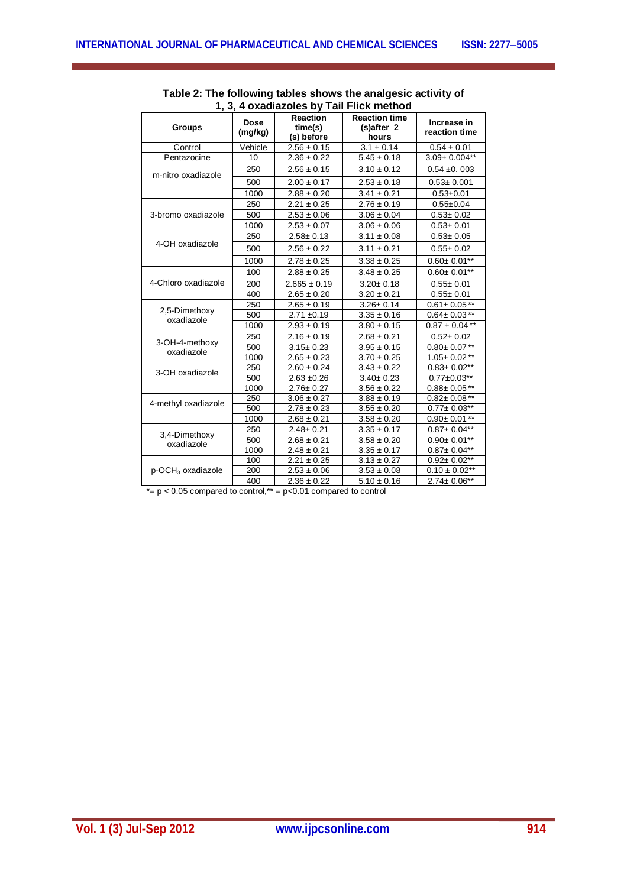| <b>Groups</b>                    | <b>Dose</b><br>(mg/kg) | <b>Reaction</b><br>time(s)<br>(s) before | <b>Reaction time</b><br>(s)after 2<br>hours | Increase in<br>reaction time |
|----------------------------------|------------------------|------------------------------------------|---------------------------------------------|------------------------------|
| Control                          | Vehicle                | $2.56 \pm 0.15$                          | $3.1 \pm 0.14$                              | $0.54 \pm 0.01$              |
| Pentazocine                      | 10                     | $2.36 \pm 0.22$                          | $5.45 \pm 0.18$                             | $3.09 \pm 0.004**$           |
| m-nitro oxadiazole               | 250                    | $2.56 \pm 0.15$                          | $3.10 \pm 0.12$                             | $0.54 \pm 0.003$             |
|                                  | 500                    | $2.00 \pm 0.17$                          | $2.53 \pm 0.18$                             | $0.53 \pm 0.001$             |
|                                  | 1000                   | $2.88 \pm 0.20$                          | $3.41 \pm 0.21$                             | $0.53 \pm 0.01$              |
|                                  | 250                    | $2.21 \pm 0.25$                          | $2.76 \pm 0.19$                             | $0.55 + 0.04$                |
| 3-bromo oxadiazole               | 500                    | $2.53 \pm 0.06$                          | $3.06 \pm 0.04$                             | $0.53 \pm 0.02$              |
|                                  | 1000                   | $2.53 \pm 0.07$                          | $3.06 \pm 0.06$                             | $0.53 + 0.01$                |
|                                  | 250                    | $2.58 \pm 0.13$                          | $3.11 \pm 0.08$                             | $0.53 + 0.05$                |
| 4-OH oxadiazole                  | 500                    | $2.56 \pm 0.22$                          | $3.11 \pm 0.21$                             | $0.55 \pm 0.02$              |
|                                  | 1000                   | $2.78 \pm 0.25$                          | $3.38 \pm 0.25$                             | $0.60 \pm 0.01***$           |
|                                  | 100                    | $2.88 \pm 0.25$                          | $3.48 \pm 0.25$                             | $0.60 \pm 0.01**$            |
| 4-Chloro oxadiazole              | 200                    | $2.665 \pm 0.19$                         | $3.20 \pm 0.18$                             | $0.55 \pm 0.01$              |
|                                  | 400                    | $2.65 \pm 0.20$                          | $3.20 \pm 0.21$                             | $0.55 \pm 0.01$              |
|                                  | 250                    | $2.65 \pm 0.19$                          | $3.26 \pm 0.14$                             | $0.61 \pm 0.05***$           |
| 2,5-Dimethoxy                    | 500                    | $2.71 \pm 0.19$                          | $3.35 \pm 0.16$                             | $0.64 \pm 0.03***$           |
| oxadiazole                       | 1000                   | $2.93 \pm 0.19$                          | $3.80 \pm 0.15$                             | $0.87 \pm 0.04$ **           |
|                                  | 250                    | $2.16 \pm 0.19$                          | $2.68 \pm 0.21$                             | $0.52 \pm 0.02$              |
| 3-OH-4-methoxy<br>oxadiazole     | 500                    | $3.15 \pm 0.23$                          | $3.95 \pm 0.15$                             | $0.80 \pm 0.07$ **           |
|                                  | 1000                   | $2.65 \pm 0.23$                          | $3.70 \pm 0.25$                             | $1.05 \pm 0.02$ **           |
| 3-OH oxadiazole                  | 250                    | $2.60 \pm 0.24$                          | $3.43 \pm 0.22$                             | $0.83 \pm 0.02$ **           |
|                                  | 500                    | $2.63 + 0.26$                            | $3.40 \pm 0.23$                             | $0.77 \pm 0.03$ **           |
|                                  | 1000                   | $2.76 \pm 0.27$                          | $3.56 \pm 0.22$                             | $0.88 \pm 0.05$ **           |
|                                  | 250                    | $3.06 \pm 0.27$                          | $3.88 \pm 0.19$                             | $0.82 \pm 0.08***$           |
| 4-methyl oxadiazole              | 500                    | $2.78 \pm 0.23$                          | $3.55 \pm 0.20$                             | $0.77 \pm 0.03$ **           |
|                                  | 1000                   | $2.68 \pm 0.21$                          | $3.58 \pm 0.20$                             | $0.90 \pm 0.01$ **           |
| 3,4-Dimethoxy                    | 250                    | $2.48 \pm 0.21$                          | $3.35 \pm 0.17$                             | $0.87 \pm 0.04**$            |
| oxadiazole                       | 500                    | $2.68 \pm 0.21$                          | $3.58 \pm 0.20$                             | $0.90 \pm 0.01$ **           |
|                                  | 1000                   | $2.48 \pm 0.21$                          | $3.35 \pm 0.17$                             | $0.87 \pm 0.04**$            |
|                                  | 100                    | $2.21 \pm 0.25$                          | $3.13 \pm 0.27$                             | $0.92 \pm 0.02$ **           |
| $p$ -OCH <sub>3</sub> oxadiazole | 200                    | $2.53 \pm 0.06$                          | $3.53 \pm 0.08$                             | $0.10 \pm 0.02$ **           |
|                                  | 400                    | $2.36 \pm 0.22$                          | $5.10 \pm 0.16$                             | $2.74 \pm 0.06**$            |

## **Table 2: The following tables shows the analgesic activity of 1, 3, 4 oxadiazoles by Tail Flick method**

 $*= p < 0.05$  compared to control,\*\* =  $p < 0.01$  compared to control